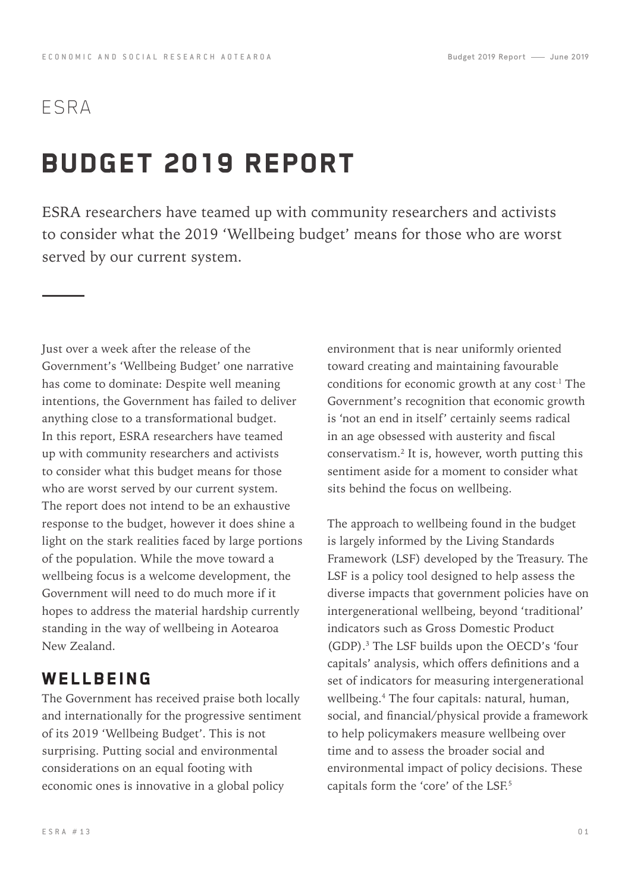## ESRA

## Budget 2019 Report

ESRA researchers have teamed up with community researchers and activists to consider what the 2019 'Wellbeing budget' means for those who are worst served by our current system.

Just over a week after the release of the Government's 'Wellbeing Budget' one narrative has come to dominate: Despite well meaning intentions, the Government has failed to deliver anything close to a transformational budget. In this report, ESRA researchers have teamed up with community researchers and activists to consider what this budget means for those who are worst served by our current system. The report does not intend to be an exhaustive response to the budget, however it does shine a light on the stark realities faced by large portions of the population. While the move toward a wellbeing focus is a welcome development, the Government will need to do much more if it hopes to address the material hardship currently standing in the way of wellbeing in Aotearoa New Zealand.

#### WELLBEING

The Government has received praise both locally and internationally for the progressive sentiment of its 2019 'Wellbeing Budget'. This is not surprising. Putting social and environmental considerations on an equal footing with economic ones is innovative in a global policy

environment that is near uniformly oriented toward creating and maintaining favourable conditions for economic growth at any cost.<sup>1</sup> The Government's recognition that economic growth is 'not an end in itself' certainly seems radical in an age obsessed with austerity and fiscal conservatism.2 It is, however, worth putting this sentiment aside for a moment to consider what sits behind the focus on wellbeing.

The approach to wellbeing found in the budget is largely informed by the Living Standards Framework (LSF) developed by the Treasury. The LSF is a policy tool designed to help assess the diverse impacts that government policies have on intergenerational wellbeing, beyond 'traditional' indicators such as Gross Domestic Product (GDP).3 The LSF builds upon the OECD's 'four capitals' analysis, which offers definitions and a set of indicators for measuring intergenerational wellbeing.4 The four capitals: natural, human, social, and financial/physical provide a framework to help policymakers measure wellbeing over time and to assess the broader social and environmental impact of policy decisions. These capitals form the 'core' of the LSF.<sup>5</sup>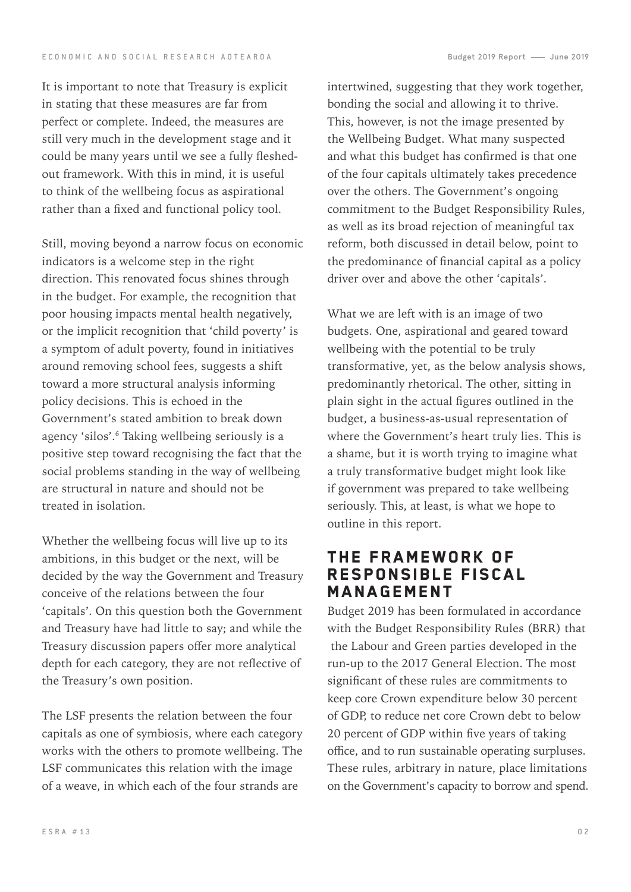It is important to note that Treasury is explicit in stating that these measures are far from perfect or complete. Indeed, the measures are still very much in the development stage and it could be many years until we see a fully fleshedout framework. With this in mind, it is useful to think of the wellbeing focus as aspirational rather than a fixed and functional policy tool.

Still, moving beyond a narrow focus on economic indicators is a welcome step in the right direction. This renovated focus shines through in the budget. For example, the recognition that poor housing impacts mental health negatively, or the implicit recognition that 'child poverty' is a symptom of adult poverty, found in initiatives around removing school fees, suggests a shift toward a more structural analysis informing policy decisions. This is echoed in the Government's stated ambition to break down agency 'silos'.6 Taking wellbeing seriously is a positive step toward recognising the fact that the social problems standing in the way of wellbeing are structural in nature and should not be treated in isolation.

Whether the wellbeing focus will live up to its ambitions, in this budget or the next, will be decided by the way the Government and Treasury conceive of the relations between the four 'capitals'. On this question both the Government and Treasury have had little to say; and while the Treasury discussion papers offer more analytical depth for each category, they are not reflective of the Treasury's own position.

The LSF presents the relation between the four capitals as one of symbiosis, where each category works with the others to promote wellbeing. The LSF communicates this relation with the image of a weave, in which each of the four strands are

intertwined, suggesting that they work together, bonding the social and allowing it to thrive. This, however, is not the image presented by the Wellbeing Budget. What many suspected and what this budget has confirmed is that one of the four capitals ultimately takes precedence over the others. The Government's ongoing commitment to the Budget Responsibility Rules, as well as its broad rejection of meaningful tax reform, both discussed in detail below, point to the predominance of financial capital as a policy driver over and above the other 'capitals'.

What we are left with is an image of two budgets. One, aspirational and geared toward wellbeing with the potential to be truly transformative, yet, as the below analysis shows, predominantly rhetorical. The other, sitting in plain sight in the actual figures outlined in the budget, a business-as-usual representation of where the Government's heart truly lies. This is a shame, but it is worth trying to imagine what a truly transformative budget might look like if government was prepared to take wellbeing seriously. This, at least, is what we hope to outline in this report.

#### The Framework of Responsible Fiscal Management

Budget 2019 has been formulated in accordance with the Budget Responsibility Rules (BRR) that the Labour and Green parties developed in the run-up to the 2017 General Election. The most significant of these rules are commitments to keep core Crown expenditure below 30 percent of GDP, to reduce net core Crown debt to below 20 percent of GDP within five years of taking office, and to run sustainable operating surpluses. These rules, arbitrary in nature, place limitations on the Government's capacity to borrow and spend.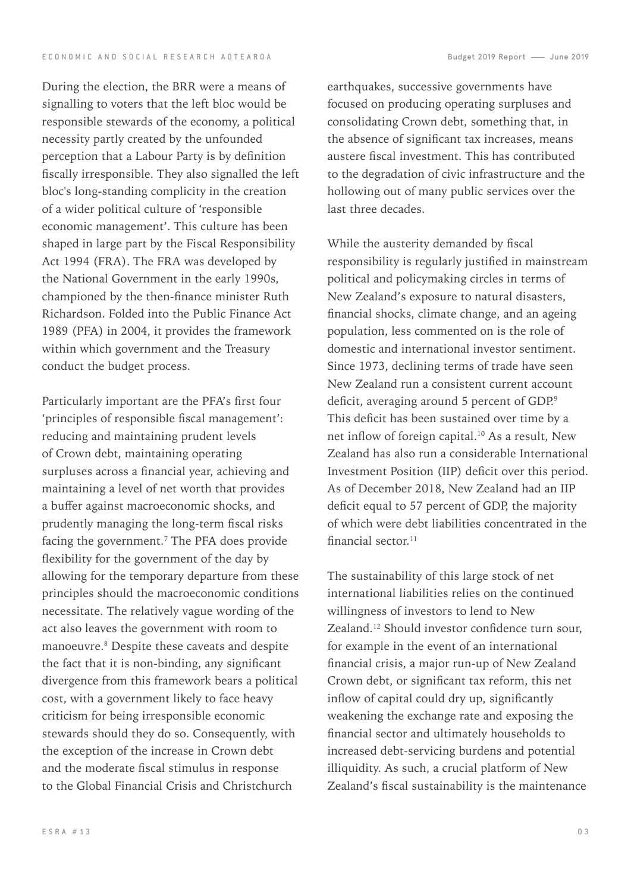During the election, the BRR were a means of

signalling to voters that the left bloc would be responsible stewards of the economy, a political necessity partly created by the unfounded perception that a Labour Party is by definition fiscally irresponsible. They also signalled the left bloc's long-standing complicity in the creation of a wider political culture of 'responsible economic management'. This culture has been shaped in large part by the Fiscal Responsibility Act 1994 (FRA). The FRA was developed by the National Government in the early 1990s, championed by the then-finance minister Ruth Richardson. Folded into the Public Finance Act 1989 (PFA) in 2004, it provides the framework within which government and the Treasury conduct the budget process.

Particularly important are the PFA's first four 'principles of responsible fiscal management': reducing and maintaining prudent levels of Crown debt, maintaining operating surpluses across a financial year, achieving and maintaining a level of net worth that provides a buffer against macroeconomic shocks, and prudently managing the long-term fiscal risks facing the government.<sup>7</sup> The PFA does provide flexibility for the government of the day by allowing for the temporary departure from these principles should the macroeconomic conditions necessitate. The relatively vague wording of the act also leaves the government with room to manoeuvre.8 Despite these caveats and despite the fact that it is non-binding, any significant divergence from this framework bears a political cost, with a government likely to face heavy criticism for being irresponsible economic stewards should they do so. Consequently, with the exception of the increase in Crown debt and the moderate fiscal stimulus in response to the Global Financial Crisis and Christchurch

 $F S R A # 13$ 

earthquakes, successive governments have focused on producing operating surpluses and consolidating Crown debt, something that, in the absence of significant tax increases, means austere fiscal investment. This has contributed to the degradation of civic infrastructure and the hollowing out of many public services over the last three decades.

While the austerity demanded by fiscal responsibility is regularly justified in mainstream political and policymaking circles in terms of New Zealand's exposure to natural disasters, financial shocks, climate change, and an ageing population, less commented on is the role of domestic and international investor sentiment. Since 1973, declining terms of trade have seen New Zealand run a consistent current account deficit, averaging around 5 percent of GDP.<sup>9</sup> This deficit has been sustained over time by a net inflow of foreign capital.10 As a result, New Zealand has also run a considerable International Investment Position (IIP) deficit over this period. As of December 2018, New Zealand had an IIP deficit equal to 57 percent of GDP, the majority of which were debt liabilities concentrated in the financial sector<sup>11</sup>

The sustainability of this large stock of net international liabilities relies on the continued willingness of investors to lend to New Zealand.12 Should investor confidence turn sour, for example in the event of an international financial crisis, a major run-up of New Zealand Crown debt, or significant tax reform, this net inflow of capital could dry up, significantly weakening the exchange rate and exposing the financial sector and ultimately households to increased debt-servicing burdens and potential illiquidity. As such, a crucial platform of New Zealand's fiscal sustainability is the maintenance

0 3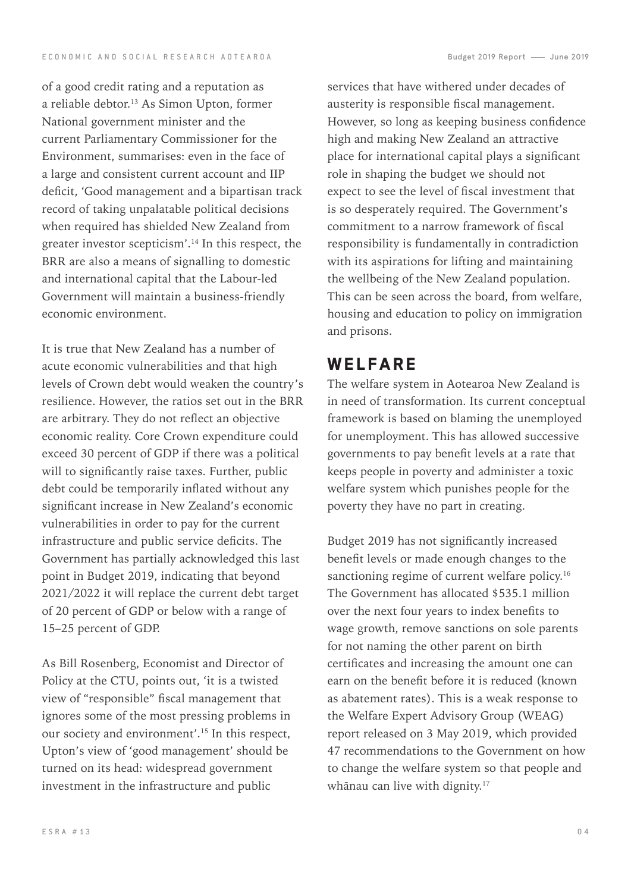of a good credit rating and a reputation as a reliable debtor.<sup>13</sup> As Simon Upton, former National government minister and the current Parliamentary Commissioner for the Environment, summarises: even in the face of a large and consistent current account and IIP deficit, 'Good management and a bipartisan track record of taking unpalatable political decisions when required has shielded New Zealand from greater investor scepticism'.14 In this respect, the BRR are also a means of signalling to domestic and international capital that the Labour-led Government will maintain a business-friendly economic environment.

It is true that New Zealand has a number of acute economic vulnerabilities and that high levels of Crown debt would weaken the country's resilience. However, the ratios set out in the BRR are arbitrary. They do not reflect an objective economic reality. Core Crown expenditure could exceed 30 percent of GDP if there was a political will to significantly raise taxes. Further, public debt could be temporarily inflated without any significant increase in New Zealand's economic vulnerabilities in order to pay for the current infrastructure and public service deficits. The Government has partially acknowledged this last point in Budget 2019, indicating that beyond 2021/2022 it will replace the current debt target of 20 percent of GDP or below with a range of 15–25 percent of GDP.

As Bill Rosenberg, Economist and Director of Policy at the CTU, points out, 'it is a twisted view of "responsible" fiscal management that ignores some of the most pressing problems in our society and environment'.15 In this respect, Upton's view of 'good management' should be turned on its head: widespread government investment in the infrastructure and public

services that have withered under decades of austerity is responsible fiscal management. However, so long as keeping business confidence high and making New Zealand an attractive place for international capital plays a significant role in shaping the budget we should not expect to see the level of fiscal investment that is so desperately required. The Government's commitment to a narrow framework of fiscal responsibility is fundamentally in contradiction with its aspirations for lifting and maintaining the wellbeing of the New Zealand population. This can be seen across the board, from welfare, housing and education to policy on immigration and prisons.

### **WELFARE**

The welfare system in Aotearoa New Zealand is in need of transformation. Its current conceptual framework is based on blaming the unemployed for unemployment. This has allowed successive governments to pay benefit levels at a rate that keeps people in poverty and administer a toxic welfare system which punishes people for the poverty they have no part in creating.

Budget 2019 has not significantly increased benefit levels or made enough changes to the sanctioning regime of current welfare policy.<sup>16</sup> The Government has allocated \$535.1 million over the next four years to index benefits to wage growth, remove sanctions on sole parents for not naming the other parent on birth certificates and increasing the amount one can earn on the benefit before it is reduced (known as abatement rates). This is a weak response to the Welfare Expert Advisory Group (WEAG) report released on 3 May 2019, which provided 47 recommendations to the Government on how to change the welfare system so that people and whānau can live with dignity.<sup>17</sup>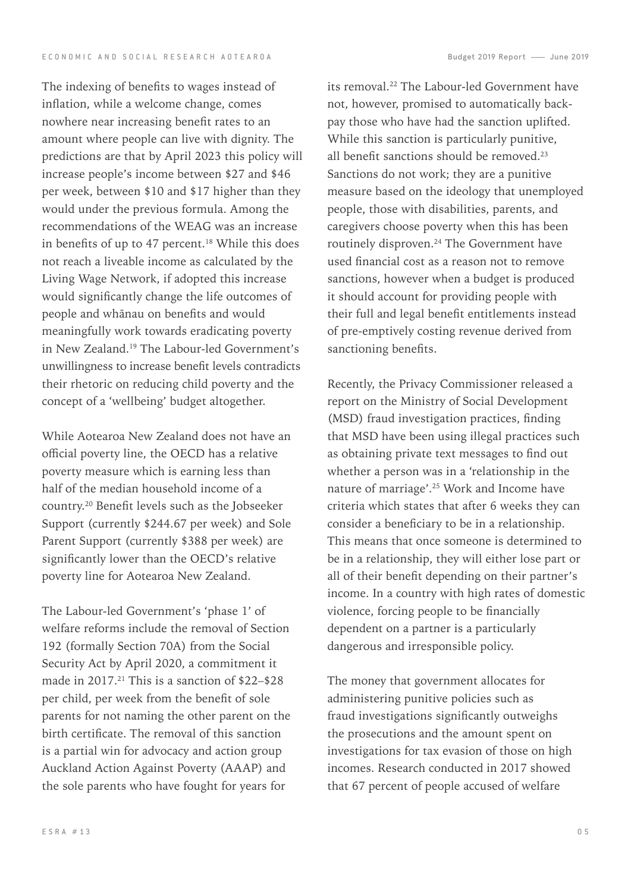The indexing of benefits to wages instead of inflation, while a welcome change, comes nowhere near increasing benefit rates to an amount where people can live with dignity. The predictions are that by April 2023 this policy will increase people's income between \$27 and \$46 per week, between \$10 and \$17 higher than they would under the previous formula. Among the recommendations of the WEAG was an increase in benefits of up to 47 percent.<sup>18</sup> While this does not reach a liveable income as calculated by the Living Wage Network, if adopted this increase would significantly change the life outcomes of people and whānau on benefits and would meaningfully work towards eradicating poverty in New Zealand.19 The Labour-led Government's unwillingness to increase benefit levels contradicts their rhetoric on reducing child poverty and the concept of a 'wellbeing' budget altogether.

While Aotearoa New Zealand does not have an official poverty line, the OECD has a relative poverty measure which is earning less than half of the median household income of a country.20 Benefit levels such as the Jobseeker Support (currently \$244.67 per week) and Sole Parent Support (currently \$388 per week) are significantly lower than the OECD's relative poverty line for Aotearoa New Zealand.

The Labour-led Government's 'phase 1' of welfare reforms include the removal of Section 192 (formally Section 70A) from the Social Security Act by April 2020, a commitment it made in  $2017<sup>21</sup>$  This is a sanction of \$22-\$28 per child, per week from the benefit of sole parents for not naming the other parent on the birth certificate. The removal of this sanction is a partial win for advocacy and action group Auckland Action Against Poverty (AAAP) and the sole parents who have fought for years for

its removal.<sup>22</sup> The Labour-led Government have not, however, promised to automatically backpay those who have had the sanction uplifted. While this sanction is particularly punitive, all benefit sanctions should be removed.<sup>23</sup> Sanctions do not work; they are a punitive measure based on the ideology that unemployed people, those with disabilities, parents, and caregivers choose poverty when this has been routinely disproven.24 The Government have used financial cost as a reason not to remove sanctions, however when a budget is produced it should account for providing people with their full and legal benefit entitlements instead of pre-emptively costing revenue derived from sanctioning benefits.

Recently, the Privacy Commissioner released a report on the Ministry of Social Development (MSD) fraud investigation practices, finding that MSD have been using illegal practices such as obtaining private text messages to find out whether a person was in a 'relationship in the nature of marriage'.25 Work and Income have criteria which states that after 6 weeks they can consider a beneficiary to be in a relationship. This means that once someone is determined to be in a relationship, they will either lose part or all of their benefit depending on their partner's income. In a country with high rates of domestic violence, forcing people to be financially dependent on a partner is a particularly dangerous and irresponsible policy.

The money that government allocates for administering punitive policies such as fraud investigations significantly outweighs the prosecutions and the amount spent on investigations for tax evasion of those on high incomes. Research conducted in 2017 showed that 67 percent of people accused of welfare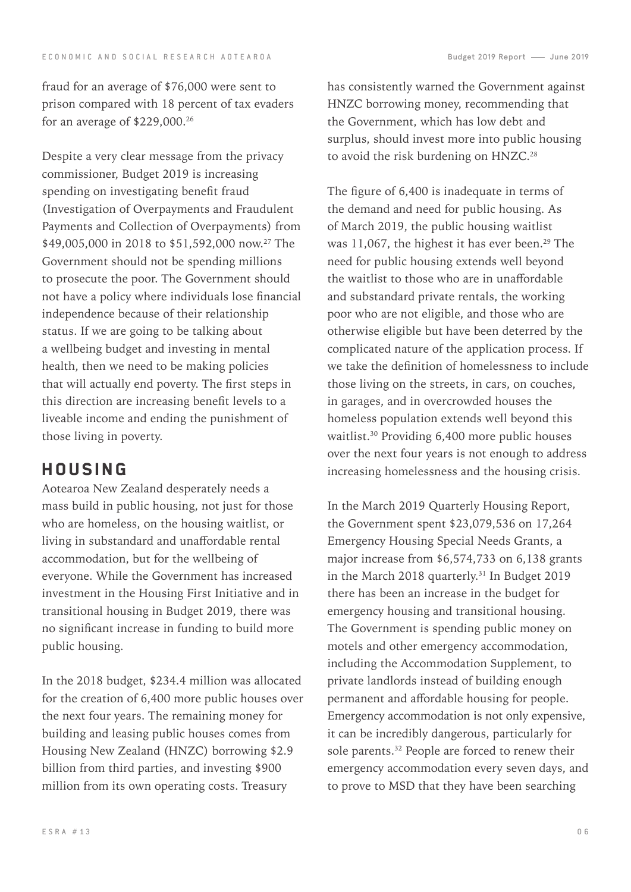fraud for an average of \$76,000 were sent to prison compared with 18 percent of tax evaders for an average of \$229,000.26

Despite a very clear message from the privacy commissioner, Budget 2019 is increasing spending on investigating benefit fraud (Investigation of Overpayments and Fraudulent Payments and Collection of Overpayments) from \$49,005,000 in 2018 to \$51,592,000 now.<sup>27</sup> The Government should not be spending millions to prosecute the poor. The Government should not have a policy where individuals lose financial independence because of their relationship status. If we are going to be talking about a wellbeing budget and investing in mental health, then we need to be making policies that will actually end poverty. The first steps in this direction are increasing benefit levels to a liveable income and ending the punishment of those living in poverty.

## **HOUSING**

Aotearoa New Zealand desperately needs a mass build in public housing, not just for those who are homeless, on the housing waitlist, or living in substandard and unaffordable rental accommodation, but for the wellbeing of everyone. While the Government has increased investment in the Housing First Initiative and in transitional housing in Budget 2019, there was no significant increase in funding to build more public housing.

In the 2018 budget, \$234.4 million was allocated for the creation of 6,400 more public houses over the next four years. The remaining money for building and leasing public houses comes from Housing New Zealand (HNZC) borrowing \$2.9 billion from third parties, and investing \$900 million from its own operating costs. Treasury

has consistently warned the Government against HNZC borrowing money, recommending that the Government, which has low debt and surplus, should invest more into public housing to avoid the risk burdening on HNZC.<sup>28</sup>

The figure of 6,400 is inadequate in terms of the demand and need for public housing. As of March 2019, the public housing waitlist was 11,067, the highest it has ever been.<sup>29</sup> The need for public housing extends well beyond the waitlist to those who are in unaffordable and substandard private rentals, the working poor who are not eligible, and those who are otherwise eligible but have been deterred by the complicated nature of the application process. If we take the definition of homelessness to include those living on the streets, in cars, on couches, in garages, and in overcrowded houses the homeless population extends well beyond this waitlist.30 Providing 6,400 more public houses over the next four years is not enough to address increasing homelessness and the housing crisis.

In the March 2019 Quarterly Housing Report, the Government spent \$23,079,536 on 17,264 Emergency Housing Special Needs Grants, a major increase from \$6,574,733 on 6,138 grants in the March 2018 quarterly.<sup>31</sup> In Budget 2019 there has been an increase in the budget for emergency housing and transitional housing. The Government is spending public money on motels and other emergency accommodation, including the Accommodation Supplement, to private landlords instead of building enough permanent and affordable housing for people. Emergency accommodation is not only expensive, it can be incredibly dangerous, particularly for sole parents.<sup>32</sup> People are forced to renew their emergency accommodation every seven days, and to prove to MSD that they have been searching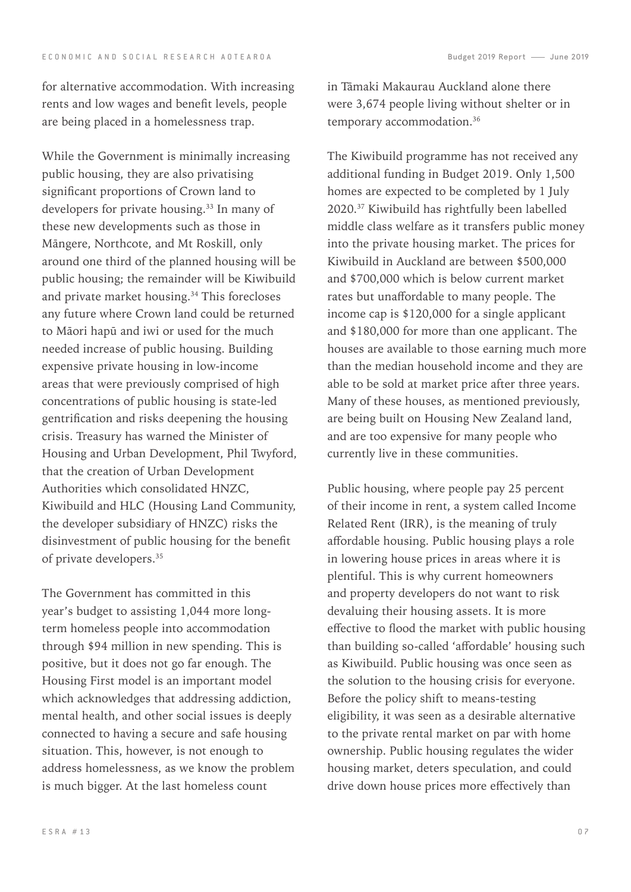for alternative accommodation. With increasing rents and low wages and benefit levels, people are being placed in a homelessness trap.

While the Government is minimally increasing public housing, they are also privatising significant proportions of Crown land to developers for private housing.33 In many of these new developments such as those in Māngere, Northcote, and Mt Roskill, only around one third of the planned housing will be public housing; the remainder will be Kiwibuild and private market housing.34 This forecloses any future where Crown land could be returned to Māori hapū and iwi or used for the much needed increase of public housing. Building expensive private housing in low-income areas that were previously comprised of high concentrations of public housing is state-led gentrification and risks deepening the housing crisis. Treasury has warned the Minister of Housing and Urban Development, Phil Twyford, that the creation of Urban Development Authorities which consolidated HNZC, Kiwibuild and HLC (Housing Land Community, the developer subsidiary of HNZC) risks the disinvestment of public housing for the benefit of private developers.35

The Government has committed in this year's budget to assisting 1,044 more longterm homeless people into accommodation through \$94 million in new spending. This is positive, but it does not go far enough. The Housing First model is an important model which acknowledges that addressing addiction, mental health, and other social issues is deeply connected to having a secure and safe housing situation. This, however, is not enough to address homelessness, as we know the problem is much bigger. At the last homeless count

in Tāmaki Makaurau Auckland alone there were 3,674 people living without shelter or in temporary accommodation.<sup>36</sup>

The Kiwibuild programme has not received any additional funding in Budget 2019. Only 1,500 homes are expected to be completed by 1 July 2020.<sup>37</sup> Kiwibuild has rightfully been labelled middle class welfare as it transfers public money into the private housing market. The prices for Kiwibuild in Auckland are between \$500,000 and \$700,000 which is below current market rates but unaffordable to many people. The income cap is \$120,000 for a single applicant and \$180,000 for more than one applicant. The houses are available to those earning much more than the median household income and they are able to be sold at market price after three years. Many of these houses, as mentioned previously, are being built on Housing New Zealand land, and are too expensive for many people who currently live in these communities.

Public housing, where people pay 25 percent of their income in rent, a system called Income Related Rent (IRR), is the meaning of truly affordable housing. Public housing plays a role in lowering house prices in areas where it is plentiful. This is why current homeowners and property developers do not want to risk devaluing their housing assets. It is more effective to flood the market with public housing than building so-called 'affordable' housing such as Kiwibuild. Public housing was once seen as the solution to the housing crisis for everyone. Before the policy shift to means-testing eligibility, it was seen as a desirable alternative to the private rental market on par with home ownership. Public housing regulates the wider housing market, deters speculation, and could drive down house prices more effectively than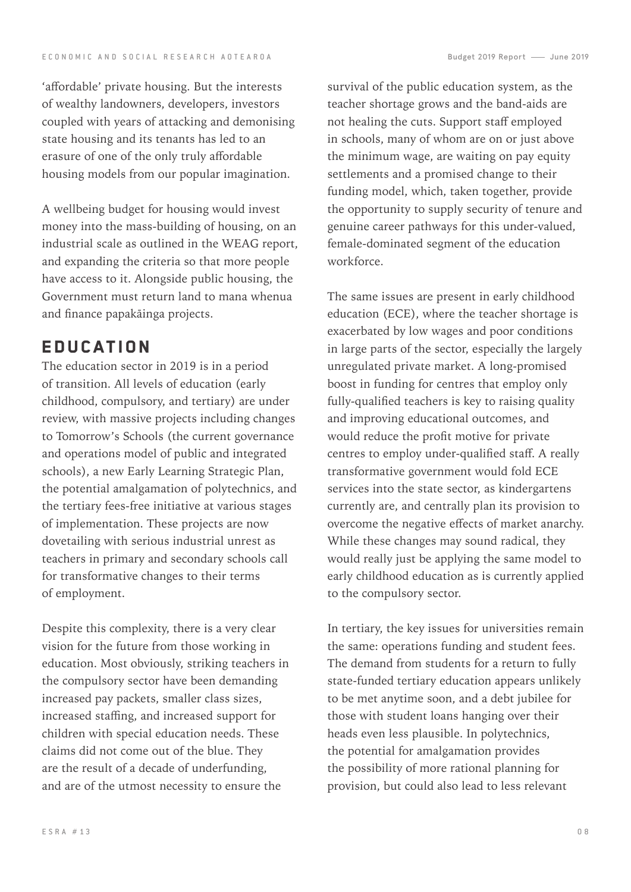'affordable' private housing. But the interests of wealthy landowners, developers, investors coupled with years of attacking and demonising state housing and its tenants has led to an erasure of one of the only truly affordable housing models from our popular imagination.

A wellbeing budget for housing would invest money into the mass-building of housing, on an industrial scale as outlined in the WEAG report, and expanding the criteria so that more people have access to it. Alongside public housing, the Government must return land to mana whenua and finance papakāinga projects.

### **EDUCATION**

The education sector in 2019 is in a period of transition. All levels of education (early childhood, compulsory, and tertiary) are under review, with massive projects including changes to Tomorrow's Schools (the current governance and operations model of public and integrated schools), a new Early Learning Strategic Plan, the potential amalgamation of polytechnics, and the tertiary fees-free initiative at various stages of implementation. These projects are now dovetailing with serious industrial unrest as teachers in primary and secondary schools call for transformative changes to their terms of employment.

Despite this complexity, there is a very clear vision for the future from those working in education. Most obviously, striking teachers in the compulsory sector have been demanding increased pay packets, smaller class sizes, increased staffing, and increased support for children with special education needs. These claims did not come out of the blue. They are the result of a decade of underfunding, and are of the utmost necessity to ensure the

survival of the public education system, as the teacher shortage grows and the band-aids are not healing the cuts. Support staff employed in schools, many of whom are on or just above the minimum wage, are waiting on pay equity settlements and a promised change to their funding model, which, taken together, provide the opportunity to supply security of tenure and genuine career pathways for this under-valued, female-dominated segment of the education workforce.

The same issues are present in early childhood education (ECE), where the teacher shortage is exacerbated by low wages and poor conditions in large parts of the sector, especially the largely unregulated private market. A long-promised boost in funding for centres that employ only fully-qualified teachers is key to raising quality and improving educational outcomes, and would reduce the profit motive for private centres to employ under-qualified staff. A really transformative government would fold ECE services into the state sector, as kindergartens currently are, and centrally plan its provision to overcome the negative effects of market anarchy. While these changes may sound radical, they would really just be applying the same model to early childhood education as is currently applied to the compulsory sector.

In tertiary, the key issues for universities remain the same: operations funding and student fees. The demand from students for a return to fully state-funded tertiary education appears unlikely to be met anytime soon, and a debt jubilee for those with student loans hanging over their heads even less plausible. In polytechnics, the potential for amalgamation provides the possibility of more rational planning for provision, but could also lead to less relevant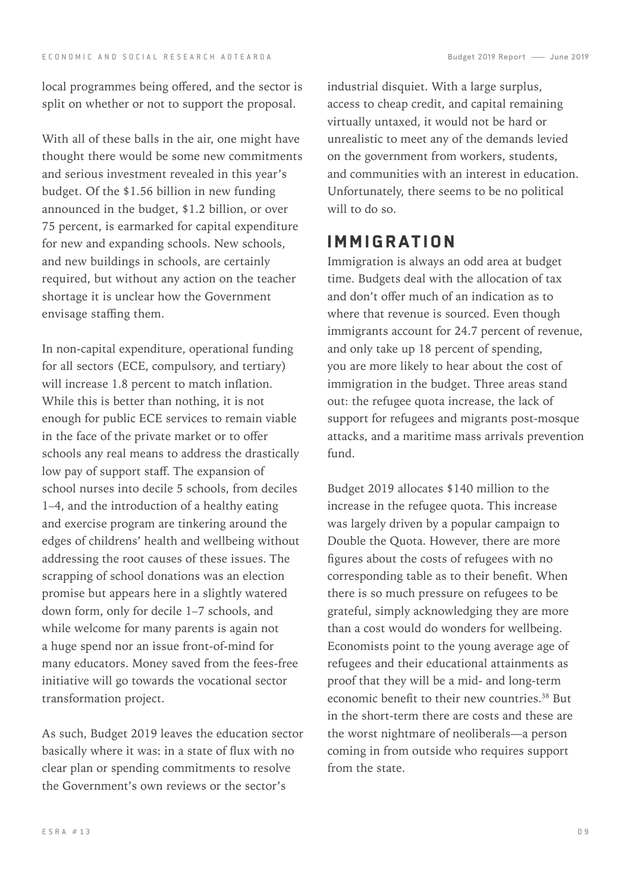local programmes being offered, and the sector is split on whether or not to support the proposal.

With all of these balls in the air, one might have thought there would be some new commitments and serious investment revealed in this year's budget. Of the \$1.56 billion in new funding announced in the budget, \$1.2 billion, or over 75 percent, is earmarked for capital expenditure for new and expanding schools. New schools, and new buildings in schools, are certainly required, but without any action on the teacher shortage it is unclear how the Government envisage staffing them.

In non-capital expenditure, operational funding for all sectors (ECE, compulsory, and tertiary) will increase 1.8 percent to match inflation. While this is better than nothing, it is not enough for public ECE services to remain viable in the face of the private market or to offer schools any real means to address the drastically low pay of support staff. The expansion of school nurses into decile 5 schools, from deciles 1–4, and the introduction of a healthy eating and exercise program are tinkering around the edges of childrens' health and wellbeing without addressing the root causes of these issues. The scrapping of school donations was an election promise but appears here in a slightly watered down form, only for decile 1–7 schools, and while welcome for many parents is again not a huge spend nor an issue front-of-mind for many educators. Money saved from the fees-free initiative will go towards the vocational sector transformation project.

As such, Budget 2019 leaves the education sector basically where it was: in a state of flux with no clear plan or spending commitments to resolve the Government's own reviews or the sector's

industrial disquiet. With a large surplus, access to cheap credit, and capital remaining virtually untaxed, it would not be hard or unrealistic to meet any of the demands levied on the government from workers, students, and communities with an interest in education. Unfortunately, there seems to be no political will to do so.

#### **IMMIGRATION**

Immigration is always an odd area at budget time. Budgets deal with the allocation of tax and don't offer much of an indication as to where that revenue is sourced. Even though immigrants account for 24.7 percent of revenue, and only take up 18 percent of spending, you are more likely to hear about the cost of immigration in the budget. Three areas stand out: the refugee quota increase, the lack of support for refugees and migrants post-mosque attacks, and a maritime mass arrivals prevention fund.

Budget 2019 allocates \$140 million to the increase in the refugee quota. This increase was largely driven by a popular campaign to Double the Quota. However, there are more figures about the costs of refugees with no corresponding table as to their benefit. When there is so much pressure on refugees to be grateful, simply acknowledging they are more than a cost would do wonders for wellbeing. Economists point to the young average age of refugees and their educational attainments as proof that they will be a mid- and long-term economic benefit to their new countries.<sup>38</sup> But in the short-term there are costs and these are the worst nightmare of neoliberals—a person coming in from outside who requires support from the state.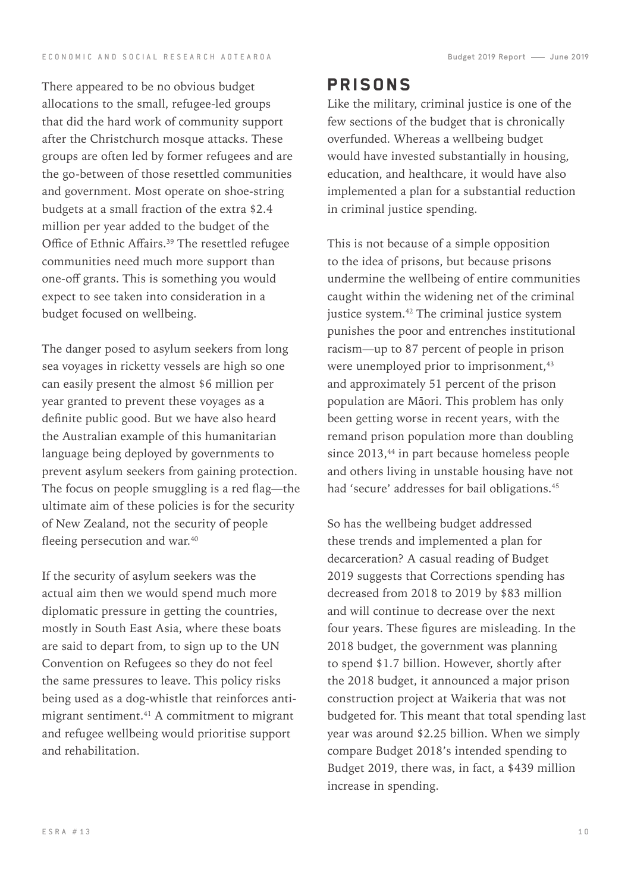There appeared to be no obvious budget allocations to the small, refugee-led groups that did the hard work of community support after the Christchurch mosque attacks. These groups are often led by former refugees and are the go-between of those resettled communities and government. Most operate on shoe-string budgets at a small fraction of the extra \$2.4 million per year added to the budget of the Office of Ethnic Affairs.<sup>39</sup> The resettled refugee communities need much more support than one-off grants. This is something you would expect to see taken into consideration in a budget focused on wellbeing.

The danger posed to asylum seekers from long sea voyages in ricketty vessels are high so one can easily present the almost \$6 million per year granted to prevent these voyages as a definite public good. But we have also heard the Australian example of this humanitarian language being deployed by governments to prevent asylum seekers from gaining protection. The focus on people smuggling is a red flag—the ultimate aim of these policies is for the security of New Zealand, not the security of people fleeing persecution and war.<sup>40</sup>

If the security of asylum seekers was the actual aim then we would spend much more diplomatic pressure in getting the countries, mostly in South East Asia, where these boats are said to depart from, to sign up to the UN Convention on Refugees so they do not feel the same pressures to leave. This policy risks being used as a dog-whistle that reinforces antimigrant sentiment.41 A commitment to migrant and refugee wellbeing would prioritise support and rehabilitation.

#### Prisons

Like the military, criminal justice is one of the few sections of the budget that is chronically overfunded. Whereas a wellbeing budget would have invested substantially in housing, education, and healthcare, it would have also implemented a plan for a substantial reduction in criminal justice spending.

This is not because of a simple opposition to the idea of prisons, but because prisons undermine the wellbeing of entire communities caught within the widening net of the criminal justice system.<sup>42</sup> The criminal justice system punishes the poor and entrenches institutional racism—up to 87 percent of people in prison were unemployed prior to imprisonment,<sup>43</sup> and approximately 51 percent of the prison population are Māori. This problem has only been getting worse in recent years, with the remand prison population more than doubling since 2013,<sup>44</sup> in part because homeless people and others living in unstable housing have not had 'secure' addresses for bail obligations.<sup>45</sup>

So has the wellbeing budget addressed these trends and implemented a plan for decarceration? A casual reading of Budget 2019 suggests that Corrections spending has decreased from 2018 to 2019 by \$83 million and will continue to decrease over the next four years. These figures are misleading. In the 2018 budget, the government was planning to spend \$1.7 billion. However, shortly after the 2018 budget, it announced a major prison construction project at Waikeria that was not budgeted for. This meant that total spending last year was around \$2.25 billion. When we simply compare Budget 2018's intended spending to Budget 2019, there was, in fact, a \$439 million increase in spending.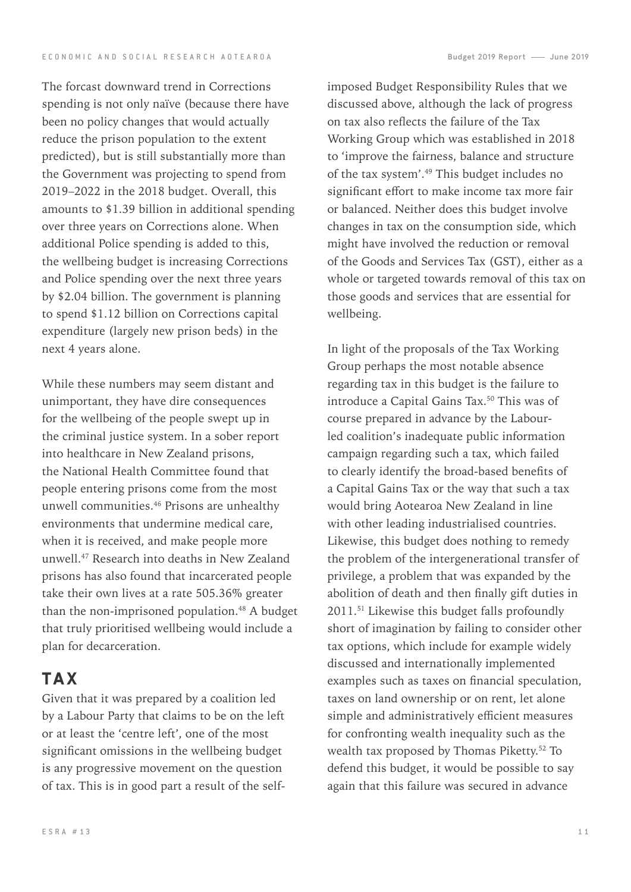The forcast downward trend in Corrections spending is not only naïve (because there have been no policy changes that would actually reduce the prison population to the extent predicted), but is still substantially more than the Government was projecting to spend from 2019–2022 in the 2018 budget. Overall, this amounts to \$1.39 billion in additional spending over three years on Corrections alone. When additional Police spending is added to this, the wellbeing budget is increasing Corrections and Police spending over the next three years by \$2.04 billion. The government is planning to spend \$1.12 billion on Corrections capital expenditure (largely new prison beds) in the next 4 years alone.

While these numbers may seem distant and unimportant, they have dire consequences for the wellbeing of the people swept up in the criminal justice system. In a sober report into healthcare in New Zealand prisons, the National Health Committee found that people entering prisons come from the most unwell communities.46 Prisons are unhealthy environments that undermine medical care, when it is received, and make people more unwell.<sup>47</sup> Research into deaths in New Zealand prisons has also found that incarcerated people take their own lives at a rate 505.36% greater than the non-imprisoned population.<sup>48</sup> A budget that truly prioritised wellbeing would include a plan for decarceration.

### **TAX**

Given that it was prepared by a coalition led by a Labour Party that claims to be on the left or at least the 'centre left', one of the most significant omissions in the wellbeing budget is any progressive movement on the question of tax. This is in good part a result of the self-

imposed Budget Responsibility Rules that we discussed above, although the lack of progress on tax also reflects the failure of the Tax Working Group which was established in 2018 to 'improve the fairness, balance and structure of the tax system'.49 This budget includes no significant effort to make income tax more fair or balanced. Neither does this budget involve changes in tax on the consumption side, which might have involved the reduction or removal of the Goods and Services Tax (GST), either as a whole or targeted towards removal of this tax on those goods and services that are essential for wellbeing.

In light of the proposals of the Tax Working Group perhaps the most notable absence regarding tax in this budget is the failure to introduce a Capital Gains Tax.<sup>50</sup> This was of course prepared in advance by the Labourled coalition's inadequate public information campaign regarding such a tax, which failed to clearly identify the broad-based benefits of a Capital Gains Tax or the way that such a tax would bring Aotearoa New Zealand in line with other leading industrialised countries. Likewise, this budget does nothing to remedy the problem of the intergenerational transfer of privilege, a problem that was expanded by the abolition of death and then finally gift duties in 2011.51 Likewise this budget falls profoundly short of imagination by failing to consider other tax options, which include for example widely discussed and internationally implemented examples such as taxes on financial speculation, taxes on land ownership or on rent, let alone simple and administratively efficient measures for confronting wealth inequality such as the wealth tax proposed by Thomas Piketty.52 To defend this budget, it would be possible to say again that this failure was secured in advance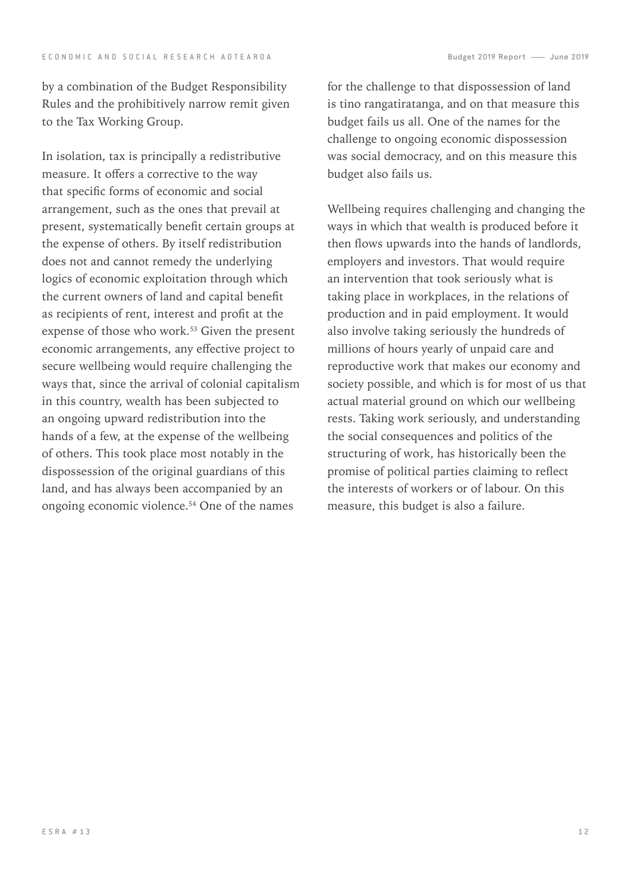by a combination of the Budget Responsibility Rules and the prohibitively narrow remit given to the Tax Working Group.

In isolation, tax is principally a redistributive measure. It offers a corrective to the way that specific forms of economic and social arrangement, such as the ones that prevail at present, systematically benefit certain groups at the expense of others. By itself redistribution does not and cannot remedy the underlying logics of economic exploitation through which the current owners of land and capital benefit as recipients of rent, interest and profit at the expense of those who work.<sup>53</sup> Given the present economic arrangements, any effective project to secure wellbeing would require challenging the ways that, since the arrival of colonial capitalism in this country, wealth has been subjected to an ongoing upward redistribution into the hands of a few, at the expense of the wellbeing of others. This took place most notably in the dispossession of the original guardians of this land, and has always been accompanied by an ongoing economic violence.54 One of the names

for the challenge to that dispossession of land is tino rangatiratanga, and on that measure this budget fails us all. One of the names for the challenge to ongoing economic dispossession was social democracy, and on this measure this budget also fails us.

Wellbeing requires challenging and changing the ways in which that wealth is produced before it then flows upwards into the hands of landlords, employers and investors. That would require an intervention that took seriously what is taking place in workplaces, in the relations of production and in paid employment. It would also involve taking seriously the hundreds of millions of hours yearly of unpaid care and reproductive work that makes our economy and society possible, and which is for most of us that actual material ground on which our wellbeing rests. Taking work seriously, and understanding the social consequences and politics of the structuring of work, has historically been the promise of political parties claiming to reflect the interests of workers or of labour. On this measure, this budget is also a failure.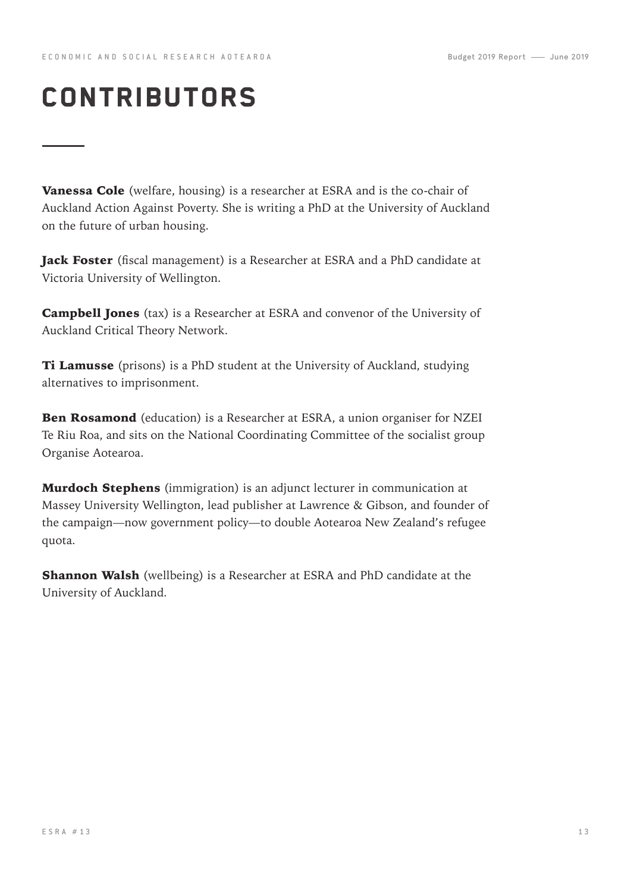## contributors

Vanessa Cole (welfare, housing) is a researcher at ESRA and is the co-chair of Auckland Action Against Poverty. She is writing a PhD at the University of Auckland on the future of urban housing.

Jack Foster (fiscal management) is a Researcher at ESRA and a PhD candidate at Victoria University of Wellington.

Campbell Jones (tax) is a Researcher at ESRA and convenor of the University of Auckland Critical Theory Network.

**Ti Lamusse** (prisons) is a PhD student at the University of Auckland, studying alternatives to imprisonment.

Ben Rosamond (education) is a Researcher at ESRA, a union organiser for NZEI Te Riu Roa, and sits on the National Coordinating Committee of the socialist group Organise Aotearoa.

**Murdoch Stephens** (immigration) is an adjunct lecturer in communication at Massey University Wellington, lead publisher at Lawrence & Gibson, and founder of the campaign—now government policy—to double Aotearoa New Zealand's refugee quota.

**Shannon Walsh** (wellbeing) is a Researcher at ESRA and PhD candidate at the University of Auckland.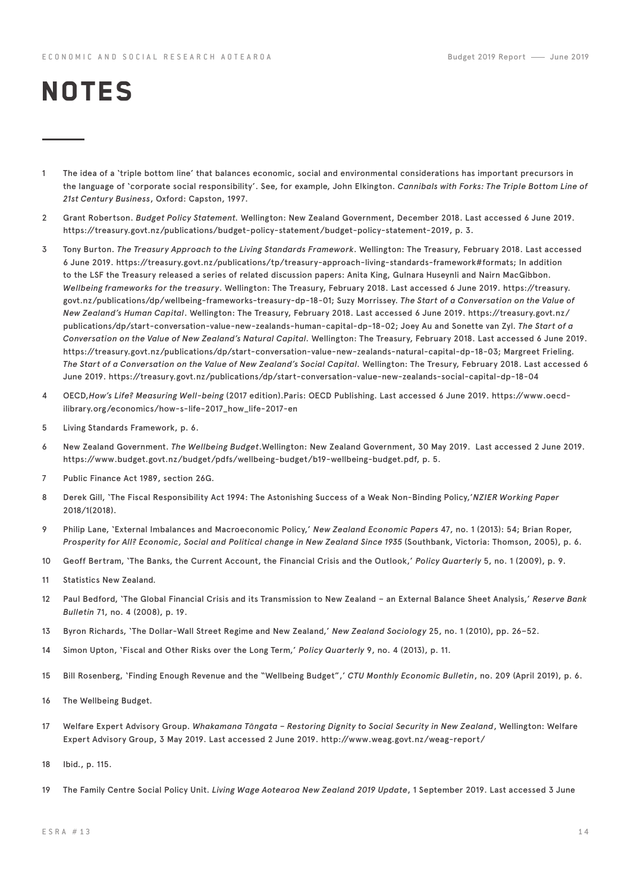# **NOTES**

- 1 The idea of a 'triple bottom line' that balances economic, social and environmental considerations has important precursors in the language of 'corporate social responsibility'. See, for example, John Elkington. *Cannibals with Forks: The Triple Bottom Line of 21st Century Business*, Oxford: Capston, 1997.
- 2 Grant Robertson. *Budget Policy Statement.* Wellington: New Zealand Government, December 2018. Last accessed 6 June 2019. https://treasury.govt.nz/publications/budget-policy-statement/budget-policy-statement-2019, p. 3.
- 3 Tony Burton. *The Treasury Approach to the Living Standards Framework*. Wellington: The Treasury, February 2018. Last accessed 6 June 2019. https://treasury.govt.nz/publications/tp/treasury-approach-living-standards-framework#formats; In addition to the LSF the Treasury released a series of related discussion papers: Anita King, Gulnara Huseynli and Nairn MacGibbon. *Wellbeing frameworks for the treasury*. Wellington: The Treasury, February 2018. Last accessed 6 June 2019. https://treasury. govt.nz/publications/dp/wellbeing-frameworks-treasury-dp-18-01; Suzy Morrissey. *The Start of a Conversation on the Value of New Zealand's Human Capital*. Wellington: The Treasury, February 2018. Last accessed 6 June 2019. https://treasury.govt.nz/ publications/dp/start-conversation-value-new-zealands-human-capital-dp-18-02; Joey Au and Sonette van Zyl. *The Start of a Conversation on the Value of New Zealand's Natural Capital.* Wellington: The Treasury, February 2018. Last accessed 6 June 2019. https://treasury.govt.nz/publications/dp/start-conversation-value-new-zealands-natural-capital-dp-18-03; Margreet Frieling. *The Start of a Conversation on the Value of New Zealand's Social Capital.* Wellington: The Tresury, February 2018. Last accessed 6 June 2019. https://treasury.govt.nz/publications/dp/start-conversation-value-new-zealands-social-capital-dp-18-04
- 4 OECD,*How's Life? Measuring Well-being* (2017 edition).Paris: OECD Publishing. Last accessed 6 June 2019. https://www.oecdilibrary.org/economics/how-s-life-2017\_how\_life-2017-en
- 5 Living Standards Framework, p. 6.
- 6 New Zealand Government. *The Wellbeing Budget*.Wellington: New Zealand Government, 30 May 2019. Last accessed 2 June 2019. https://www.budget.govt.nz/budget/pdfs/wellbeing-budget/b19-wellbeing-budget.pdf, p. 5.
- 7 Public Finance Act 1989, section 26G.
- 8 Derek Gill, 'The Fiscal Responsibility Act 1994: The Astonishing Success of a Weak Non-Binding Policy,'*NZIER Working Paper* 2018/1(2018).
- 9 Philip Lane, 'External Imbalances and Macroeconomic Policy,' *New Zealand Economic Papers* 47, no. 1 (2013): 54; Brian Roper, *Prosperity for All? Economic, Social and Political change in New Zealand Since 1935* (Southbank, Victoria: Thomson, 2005), p. 6.
- 10 Geoff Bertram, 'The Banks, the Current Account, the Financial Crisis and the Outlook,' *Policy Quarterly* 5, no. 1 (2009), p. 9.
- 11 Statistics New Zealand.
- 12 Paul Bedford, 'The Global Financial Crisis and its Transmission to New Zealand an External Balance Sheet Analysis,' *Reserve Bank Bulletin* 71, no. 4 (2008), p. 19.
- 13 Byron Richards, 'The Dollar-Wall Street Regime and New Zealand,' *New Zealand Sociology* 25, no. 1 (2010), pp. 26–52.
- 14 Simon Upton, 'Fiscal and Other Risks over the Long Term,' *Policy Quarterly* 9, no. 4 (2013), p. 11.
- 15 Bill Rosenberg, 'Finding Enough Revenue and the "Wellbeing Budget",' *CTU Monthly Economic Bulletin*, no. 209 (April 2019), p. 6.
- 16 The Wellbeing Budget.
- 17 Welfare Expert Advisory Group. *Whakamana Tāngata Restoring Dignity to Social Security in New Zealand*, Wellington: Welfare Expert Advisory Group, 3 May 2019. Last accessed 2 June 2019. http://www.weag.govt.nz/weag-report/
- 18 Ibid., p. 115.
- 19 The Family Centre Social Policy Unit. *Living Wage Aotearoa New Zealand 2019 Update*, 1 September 2019. Last accessed 3 June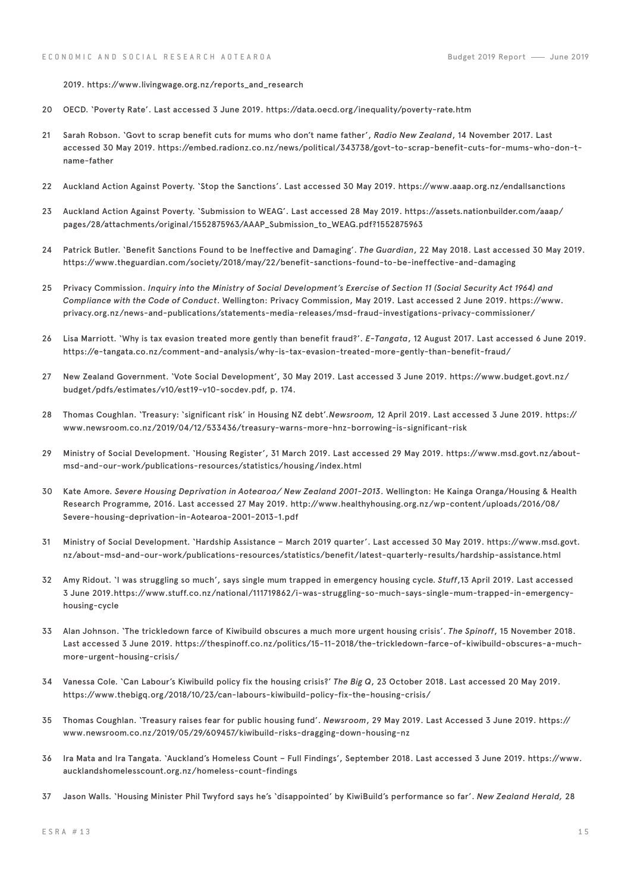2019. https://www.livingwage.org.nz/reports\_and\_research

- 20 OECD. 'Poverty Rate'. Last accessed 3 June 2019. https://data.oecd.org/inequality/poverty-rate.htm
- 21 Sarah Robson. 'Govt to scrap benefit cuts for mums who don't name father', *Radio New Zealand*, 14 November 2017. Last accessed 30 May 2019. https://embed.radionz.co.nz/news/political/343738/govt-to-scrap-benefit-cuts-for-mums-who-don-tname-father
- 22 Auckland Action Against Poverty. 'Stop the Sanctions'. Last accessed 30 May 2019. https://www.aaap.org.nz/endallsanctions
- 23 Auckland Action Against Poverty. 'Submission to WEAG'. Last accessed 28 May 2019. https://assets.nationbuilder.com/aaap/ pages/28/attachments/original/1552875963/AAAP\_Submission\_to\_WEAG.pdf?1552875963
- 24 Patrick Butler. 'Benefit Sanctions Found to be Ineffective and Damaging'. *The Guardian*, 22 May 2018. Last accessed 30 May 2019. https://www.theguardian.com/society/2018/may/22/benefit-sanctions-found-to-be-ineffective-and-damaging
- 25 Privacy Commission. *Inquiry into the Ministry of Social Development's Exercise of Section 11 (Social Security Act 1964) and Compliance with the Code of Conduct*. Wellington: Privacy Commission, May 2019. Last accessed 2 June 2019. https://www. privacy.org.nz/news-and-publications/statements-media-releases/msd-fraud-investigations-privacy-commissioner/
- 26 Lisa Marriott. 'Why is tax evasion treated more gently than benefit fraud?'. *E-Tangata*, 12 August 2017. Last accessed 6 June 2019. https://e-tangata.co.nz/comment-and-analysis/why-is-tax-evasion-treated-more-gently-than-benefit-fraud/
- 27 New Zealand Government. 'Vote Social Development', 30 May 2019. Last accessed 3 June 2019. https://www.budget.govt.nz/ budget/pdfs/estimates/v10/est19-v10-socdev.pdf, p. 174.
- 28 Thomas Coughlan. 'Treasury: 'significant risk' in Housing NZ debt'*.Newsroom,* 12 April 2019. Last accessed 3 June 2019. https:// www.newsroom.co.nz/2019/04/12/533436/treasury-warns-more-hnz-borrowing-is-significant-risk
- 29 Ministry of Social Development. 'Housing Register', 31 March 2019. Last accessed 29 May 2019. https://www.msd.govt.nz/aboutmsd-and-our-work/publications-resources/statistics/housing/index.html
- 30 Kate Amore. *Severe Housing Deprivation in Aotearoa/ New Zealand 2001-2013*. Wellington: He Kainga Oranga/Housing & Health Research Programme, 2016. Last accessed 27 May 2019. http://www.healthyhousing.org.nz/wp-content/uploads/2016/08/ Severe-housing-deprivation-in-Aotearoa-2001-2013-1.pdf
- 31 Ministry of Social Development. 'Hardship Assistance March 2019 quarter'. Last accessed 30 May 2019. https://www.msd.govt. nz/about-msd-and-our-work/publications-resources/statistics/benefit/latest-quarterly-results/hardship-assistance.html
- 32 Amy Ridout. 'I was struggling so much', says single mum trapped in emergency housing cycle. *Stuff*,13 April 2019. Last accessed 3 June 2019.https://www.stuff.co.nz/national/111719862/i-was-struggling-so-much-says-single-mum-trapped-in-emergencyhousing-cycle
- 33 Alan Johnson. 'The trickledown farce of Kiwibuild obscures a much more urgent housing crisis'. *The Spinoff*, 15 November 2018. Last accessed 3 June 2019. https://thespinoff.co.nz/politics/15-11-2018/the-trickledown-farce-of-kiwibuild-obscures-a-muchmore-urgent-housing-crisis/
- 34 Vanessa Cole. 'Can Labour's Kiwibuild policy fix the housing crisis?' *The Big Q*, 23 October 2018. Last accessed 20 May 2019. https://www.thebigq.org/2018/10/23/can-labours-kiwibuild-policy-fix-the-housing-crisis/
- 35 Thomas Coughlan. 'Treasury raises fear for public housing fund'. *Newsroom*, 29 May 2019. Last Accessed 3 June 2019. https:// www.newsroom.co.nz/2019/05/29/609457/kiwibuild-risks-dragging-down-housing-nz
- 36 Ira Mata and Ira Tangata. 'Auckland's Homeless Count Full Findings', September 2018. Last accessed 3 June 2019. https://www. aucklandshomelesscount.org.nz/homeless-count-findings
- 37 Jason Walls. 'Housing Minister Phil Twyford says he's 'disappointed' by KiwiBuild's performance so far'. *New Zealand Herald,* 28